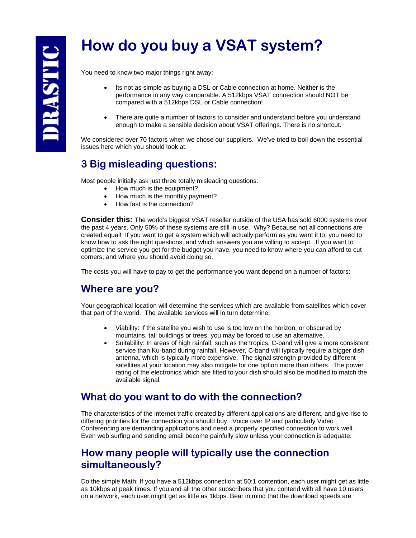# **How do you buy a VSAT system?**

You need to know two major things right away:

- Its not as simple as buying a DSL or Cable connection at home. Neither is the performance in any way comparable. A 512kbps VSAT connection should NOT be compared with a 512kbps DSL or Cable connection!
- There are quite a number of factors to consider and understand before you understand enough to make a sensible decision about VSAT offerings. There is no shortcut.

We considered over 70 factors when we chose our suppliers. We've tried to boil down the essential issues here which you should look at.

# **3 Big misleading questions:**

Most people initially ask just three totally misleading questions:

- How much is the equipment?
- How much is the monthly payment?
- How fast is the connection?

**Consider this:** The world's biggest VSAT reseller outside of the USA has sold 6000 systems over the past 4 years. Only 50% of these systems are still in use. Why? Because not all connections are created equal! If you want to get a system which will actually perform as you want it to, you need to know how to ask the right questions, and which answers you are willing to accept. If you want to optimize the service you get for the budget you have, you need to know where you can afford to cut corners, and where you should avoid doing so.

The costs you will have to pay to get the performance you want depend on a number of factors:

# **Where are you?**

Your geographical location will determine the services which are available from satellites which cover that part of the world. The available services will in turn determine:

- Viability: If the satellite you wish to use is too low on the horizon, or obscured by mountains, tall buildings or trees, you may be forced to use an alternative.
- Suitability: In areas of high rainfall, such as the tropics, C-band will give a more consistent service than Ku-band during rainfall. However, C-band will typically require a bigger dish antenna, which is typically more expensive. The signal strength provided by different satellites at your location may also mitigate for one option more than others. The power rating of the electronics which are fitted to your dish should also be modified to match the available signal.

## **What do you want to do with the connection?**

The characteristics of the internet traffic created by different applications are different, and give rise to differing priorities for the connection you should buy. Voice over IP and particularly Video Conferencing are demanding applications and need a properly specified connection to work well. Even web surfing and sending email become painfully slow unless your connection is adequate.

## **How many people will typically use the connection simultaneously?**

Do the simple Math: If you have a 512kbps connection at 50:1 contention, each user might get as little as 10kbps at peak times. If you and all the other subscribers that you contend with all have 10 users on a network, each user might get as little as 1kbps. Bear in mind that the download speeds are